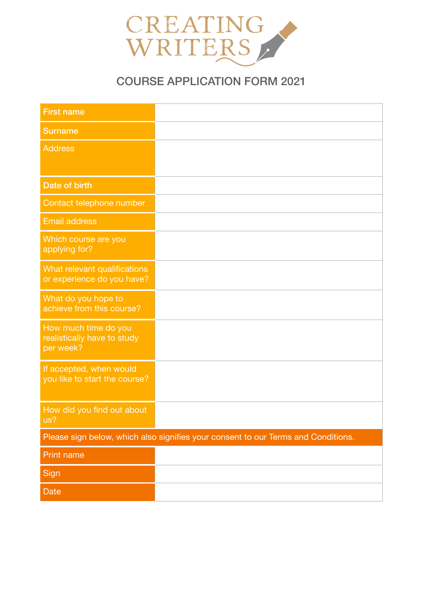

# COURSE APPLICATION FORM 2021

| <b>First name</b>                                                                 |  |
|-----------------------------------------------------------------------------------|--|
| <b>Surname</b>                                                                    |  |
| <b>Address</b>                                                                    |  |
|                                                                                   |  |
| Date of birth                                                                     |  |
| Contact telephone number                                                          |  |
| <b>Email address</b>                                                              |  |
| Which course are you<br>applying for?                                             |  |
| What relevant qualifications<br>or experience do you have?                        |  |
| What do you hope to<br>achieve from this course?                                  |  |
| How much time do you<br>realistically have to study<br>per week?                  |  |
| If accepted, when would<br>you like to start the course?                          |  |
| How did you find out about<br>us?                                                 |  |
| Please sign below, which also signifies your consent to our Terms and Conditions. |  |
| <b>Print name</b>                                                                 |  |
| Sign                                                                              |  |
| Date                                                                              |  |